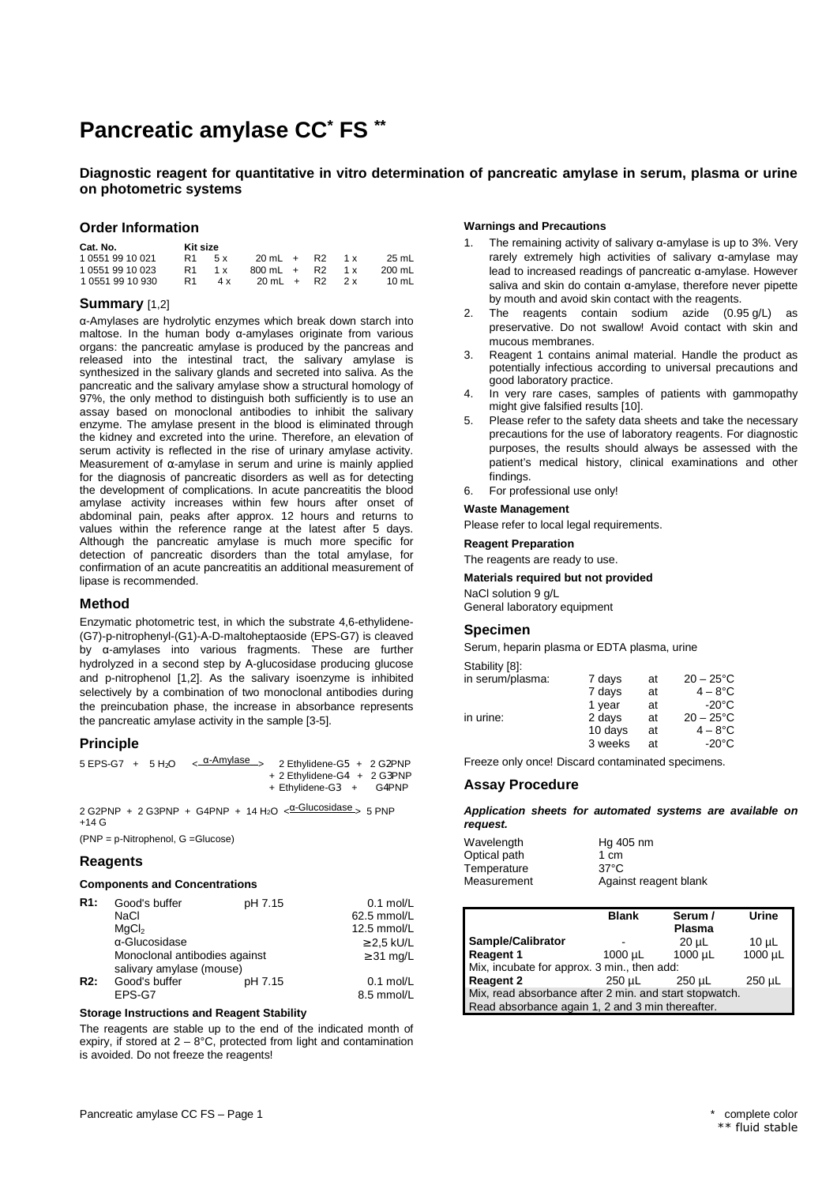# **Pancreatic amylase CC\* FS \*\***

# **Diagnostic reagent for quantitative in vitro determination of pancreatic amylase in serum, plasma or urine on photometric systems**

## **Order Information**

| Cat. No.         | Kit size |     |                       |  |     |        |
|------------------|----------|-----|-----------------------|--|-----|--------|
| 1 0551 99 10 021 | R1       | 5 x | $20 \text{ mL} + R2$  |  | 1 x | 25 mL  |
| 1 0551 99 10 023 | R1       | 1 x | $800 \text{ mL} + R2$ |  | 1 x | 200 mL |
| 1 0551 99 10 930 | R1       | 4 x | $20 \text{ mL} + R2$  |  | 2x  | 10 mL  |

# **Summary** [1,2]

α-Amylases are hydrolytic enzymes which break down starch into maltose. In the human body α-amylases originate from various organs: the pancreatic amylase is produced by the pancreas and released into the intestinal tract, the salivary amylase is synthesized in the salivary glands and secreted into saliva. As the pancreatic and the salivary amylase show a structural homology of 97%, the only method to distinguish both sufficiently is to use an assay based on monoclonal antibodies to inhibit the salivary enzyme. The amylase present in the blood is eliminated through the kidney and excreted into the urine. Therefore, an elevation of serum activity is reflected in the rise of urinary amylase activity. Measurement of  $\alpha$ -amylase in serum and urine is mainly applied for the diagnosis of pancreatic disorders as well as for detecting the development of complications. In acute pancreatitis the blood amylase activity increases within few hours after onset of abdominal pain, peaks after approx. 12 hours and returns to values within the reference range at the latest after 5 days. Although the pancreatic amylase is much more specific for detection of pancreatic disorders than the total amylase, for confirmation of an acute pancreatitis an additional measurement of lipase is recommended.

# **Method**

Enzymatic photometric test, in which the substrate 4,6-ethylidene- (G7)-p-nitrophenyl-(G1)-Α-D-maltoheptaoside (EPS-G7) is cleaved by α-amylases into various fragments. These are further hydrolyzed in a second step by Α-glucosidase producing glucose and p-nitrophenol [1,2]. As the salivary isoenzyme is inhibited selectively by a combination of two monoclonal antibodies during the preincubation phase, the increase in absorbance represents the pancreatic amylase activity in the sample [3-5].

#### **Principle**

| $5 EPS-G7 + 5 H2O$ |  | <sub>&lt;</sub> α-Amylase > 2 Ethylidene-G5 + 2 G2PNP |                             |  |
|--------------------|--|-------------------------------------------------------|-----------------------------|--|
|                    |  |                                                       | + 2 Ethylidene-G4 + 2 G3PNP |  |
|                    |  |                                                       | + Ethylidene-G3 + G4PNP     |  |

 $2 G2PNP + 2 G3PNP + G4PNP + 14 H<sub>2</sub>O <sup>2</sup>$ +14 G

(PNP = p-Nitrophenol, G =Glucose)

## **Reagents**

**Components and Concentrations** 

| R1: | Good's buffer                                             | pH 7.15 | $0.1$ mol/L     |
|-----|-----------------------------------------------------------|---------|-----------------|
|     | NaCl                                                      |         | 62.5 mmol/L     |
|     | MqCl <sub>2</sub>                                         |         | 12.5 mmol/L     |
|     | α-Glucosidase                                             |         | $\geq$ 2.5 kU/L |
|     | Monoclonal antibodies against<br>salivary amylase (mouse) |         | $\geq$ 31 mg/L  |
| R2: | Good's buffer                                             | pH 7.15 | $0.1$ mol/L     |
|     | EPS-G7                                                    |         | 8.5 mmol/L      |

#### **Storage Instructions and Reagent Stability**

The reagents are stable up to the end of the indicated month of expiry, if stored at  $2 - 8^{\circ}$ C, protected from light and contamination is avoided. Do not freeze the reagents!

# **Warnings and Precautions**

- 1. The remaining activity of salivary α-amylase is up to 3%. Very rarely extremely high activities of salivary α-amylase may lead to increased readings of pancreatic α-amylase. However saliva and skin do contain α-amylase, therefore never pipette by mouth and avoid skin contact with the reagents.
- 2. The reagents contain sodium azide (0.95 g/L) as preservative. Do not swallow! Avoid contact with skin and mucous membranes.
- 3. Reagent 1 contains animal material. Handle the product as potentially infectious according to universal precautions and good laboratory practice.
- 4. In very rare cases, samples of patients with gammopathy might give falsified results [10].
- 5. Please refer to the safety data sheets and take the necessary precautions for the use of laboratory reagents. For diagnostic purposes, the results should always be assessed with the patient's medical history, clinical examinations and other findings.
- 6. For professional use only!

#### **Waste Management**

Please refer to local legal requirements.

#### **Reagent Preparation**

The reagents are ready to use.

#### **Materials required but not provided**

NaCl solution 9 g/L General laboratory equipment

# **Specimen**

Serum, heparin plasma or EDTA plasma, urine

| Stability [8]:   |         |    |                 |
|------------------|---------|----|-----------------|
| in serum/plasma: | 7 days  | at | $20 - 25$ °C    |
|                  | 7 days  | at | $4 - 8$ °C      |
|                  | 1 year  | at | $-20^{\circ}$ C |
| in urine:        | 2 days  | at | $20 - 25$ °C    |
|                  | 10 days | at | $4 - 8$ °C      |
|                  | 3 weeks | аt | -20°C           |

Freeze only once! Discard contaminated specimens.

#### **Assay Procedure**

**Application sheets for automated systems are available on request.** 

| Wavelength   | Hg 405 nm             |
|--------------|-----------------------|
| Optical path | 1 cm                  |
| Temperature  | $37^{\circ}$ C        |
| Measurement  | Against reagent blank |
|              |                       |

|                                                        | <b>Blank</b> | Serum /       | Urine       |
|--------------------------------------------------------|--------------|---------------|-------------|
|                                                        |              | <b>Plasma</b> |             |
| Sample/Calibrator                                      |              | $20 \mu L$    | $10 \mu L$  |
| <b>Reagent 1</b>                                       | $1000 \mu L$ | 1000 µL       | 1000 µL     |
| Mix, incubate for approx. 3 min., then add:            |              |               |             |
| <b>Reagent 2</b>                                       | $250 \mu L$  | $250 \mu L$   | $250 \mu L$ |
| Mix, read absorbance after 2 min. and start stopwatch. |              |               |             |
| Read absorbance again 1, 2 and 3 min thereafter.       |              |               |             |